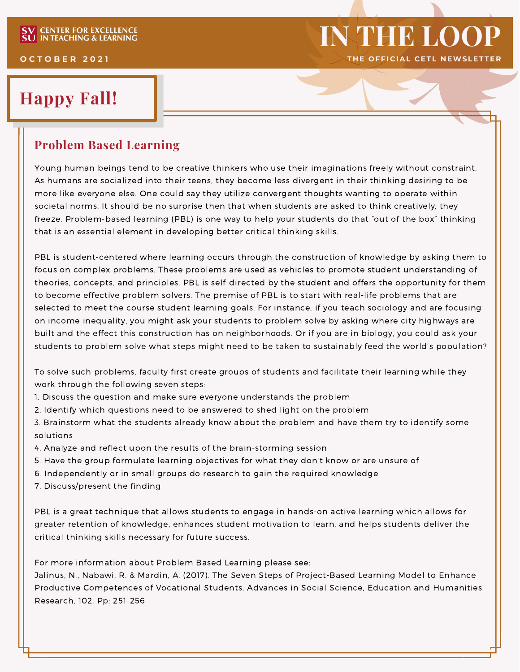# **Happy Fall!**

#### **Problem Based Learning**

Young human beings tend to be creative thinkers who use their imaginations freely without constraint. As humans are socialized into their teens, they become less divergent in their thinking desiring to be more like everyone else. One could say they utilize convergent thoughts wanting to operate within societal norms. It should be no surprise then that when students are asked to think creatively, they freeze. Problem-based learning (PBL) is one way to help your students do that "out of the box" thinking that is an essential element in developing better critical thinking skills.

**IN THE LOOP**

PBL is student-centered where learning occurs through the construction of knowledge by asking them to focus on complex problems. These problems are used as vehicles to promote student understanding of theories, concepts, and principles. PBL is self-directed by the student and offers the opportunity for them to become effective problem solvers. The premise of PBL is to start with real-life problems that are selected to meet the course student learning goals. For instance, if you teach sociology and are focusing on income inequality, you might ask your students to problem solve by asking where city highways are built and the effect this construction has on neighborhoods. Or if you are in biology, you could ask your students to problem solve what steps might need to be taken to sustainably feed the world's population?

To solve such problems, faculty first create groups of students and facilitate their learning while they work through the following seven steps:

- 1. Discuss the question and make sure everyone understands the problem
- 2. Identify which questions need to be answered to shed light on the problem
- 3. Brainstorm what the students already know about the problem and have them try to identify some solutions
- 4. Analyze and reflect upon the results of the brain-storming session
- 5. Have the group formulate learning objectives for what they don't know or are unsure of
- 6. Independently or in small groups do research to gain the required knowledge
- 7. Discuss/present the finding

PBL is a great technique that allows students to engage in hands-on active learning which allows for greater retention of knowledge, enhances student motivation to learn, and helps students deliver the critical thinking skills necessary for future success.

For more information about Problem Based Learning please see:

Jalinus, N., Nabawi, R. & Mardin, A. (2017). The Seven Steps of Project-Based Learning Model to Enhance Productive Competences of Vocational Students. Advances in Social Science, Education and Humanities Research, 102. Pp: 251-256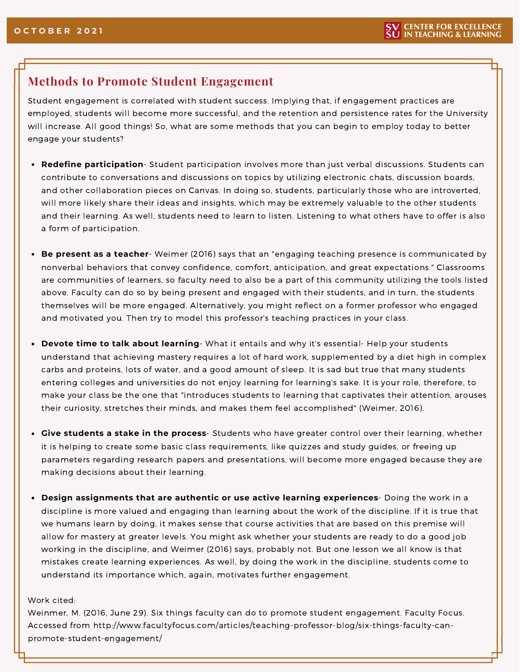#### **Methods to Promote Student Engagement**

Student engagement is correlated with student success. Implying that, if engagement practices are employed, students will become more successful, and the retention and persistence rates for the University will increase. All good things! So, what are some methods that you can begin to employ today to better engage your students?

- **Redefine participation** Student participation involves more than just verbal discussions. Students can contribute to conversations and discussions on topics by utilizing electronic chats, discussion boards, and other collaboration pieces on Canvas. In doing so, students, particularly those who are introverted, will more likely share their ideas and insights, which may be extremely valuable to the other students and their learning. As well, students need to learn to listen. Listening to what others have to offer is also a form of participation.
- **Be present as a teacher** Weimer (2016) says that an "engaging teaching presence is communicated by nonverbal behaviors that convey confidence, comfort, anticipation, and great expectations." Classrooms are communities of learners, so faculty need to also be a part of this community utilizing the tools listed above. Faculty can do so by being present and engaged with their students, and in turn, the students themselves will be more engaged. Alternatively, you might reflect on a former professor who engaged and motivated you. Then try to model this professor's teaching practices in your class.
- **Devote time to talk about learning** What it entails and why it's essential- Help your students understand that achieving mastery requires a lot of hard work, supplemented by a diet high in complex carbs and proteins, lots of water, and a good amount of sleep. It is sad but true that many students entering colleges and universities do not enjoy learning for learning's sake. It is your role, therefore, to make your class be the one that "introduces students to learning that captivates their attention, arouses their curiosity, stretches their minds, and makes them feel accomplished" (Weimer, 2016).
- **Give students a stake in the process** Students who have greater control over their learning, whether it is helping to create some basic class requirements, like quizzes and study guides, or freeing up parameters regarding research papers and presentations, will become more engaged because they are making decisions about their learning.
- **Design assignments that are authentic or use active learning experiences** Doing the work in a discipline is more valued and engaging than learning about the work of the discipline. If it is true that we humans learn by doing, it makes sense that course activities that are based on this premise will allow for mastery at greater levels. You might ask whether your students are ready to do a good job working in the discipline, and Weimer (2016) says, probably not. But one lesson we all know is that mistakes create learning experiences. As well, by doing the work in the discipline, students come to understand its importance which, again, motivates further engagement.

#### Work cited:

Weinmer, M. (2016, June 29). Six things faculty can do to promote student engagement. Faculty Focus. Accessed from http://www.facultyfocus.com/articles/teaching-professor-blog/six-things-faculty-canpromote-student-engagement/